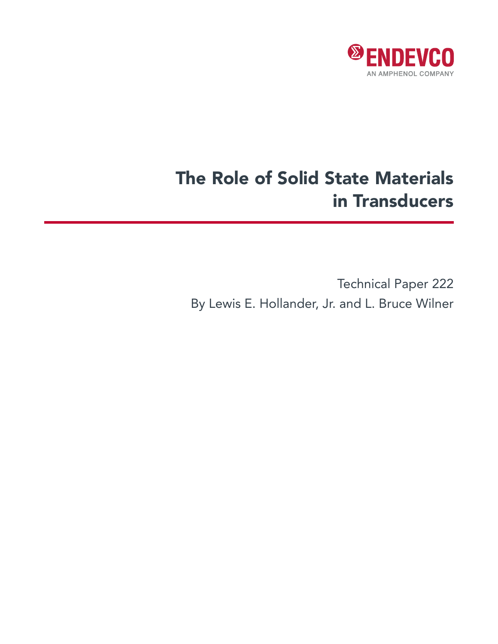

# The Role of Solid State Materials in Transducers

Technical Paper 222 By Lewis E. Hollander, Jr. and L. Bruce Wilner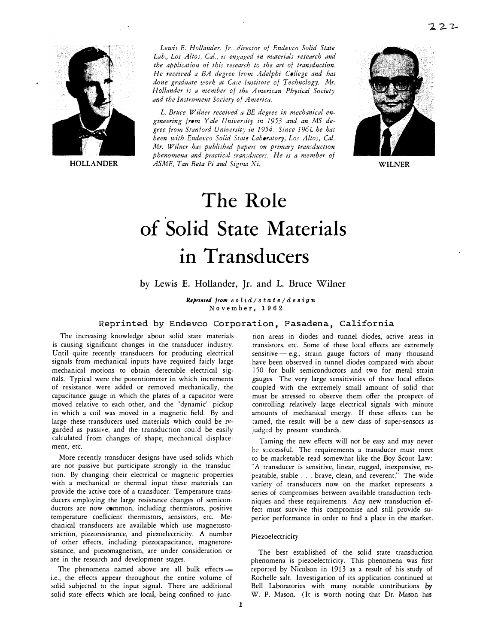

**HOLLANDER** 

*Lewis E. Hollander, Jr .. director of Endevco Solid State*  Lab., Los Altos, Cal., is engaged in materials research and *the application of this research to the art of transduction. He received a BA degree from Adelphi College and has done graducite work at Care Institute of Technology, Mr. Hollander is a member of the American Physical Society and the Instrument Society of America.* 

L. Bruce Wilner received a BE degree in mechanical engineering from Yale University in 1953 and an MS de*gree from Stanford University in 1954. Since 196 L he has*  been with Endevco Solid State Laboratory, Los Altos, Cal. *Mr. Wilner has published papers on primary transduction phenomena and practical transducers. ·He is a member of ASME, Tatt Beta Pi and Sigma Xi.* **WILNER** 



# **The Role of Solid State Materials in Transducers**

## by Lewis E. Hollander, Jr. and L. Bruce Wilner

Reprinted from solid / state / design November, 1962

### Reprinted by Endevco Corporation, Pasadena, California

The increasing knowledge about solid stare materials is causing significant changes in the transducer industry. Until quite recently transducers for producing electrical signals from mechanical inputs have required fairly large mechanical motions to obtain detectable electrical signals. Typical were the potentiometer in which increments of resistance were added or removed mechanically, the capacitance gauge in which the plates of a capacitor were moved relative to each other, and the "dynamic" pickup in which a coil was moved in a magnetic field. By and large these transducers used materials which could be regarded as passive, and che transduction could be easily calculated from changes of shape, mechanical displacement, etc.

More recently transducer designs have used solids which are not passive but participate strongly in the transduction. By changing their electrical or magnetic properties with a mechanical or thermal input these materials can provide the active core of a transducer. Temperature transducers employing the large resistance changes of semiconductors are now common, including thermistors, positive temperature coefficient thermistors, sensistors, ere. Mechanical transducers are available which use magnetostostriction, piezoresistance, and piezoelectricity. A number of ocher effects, including piezocapacitance, magnetoresistance, and piezomagnetism, are under consideration or are in the research and development stages.

The phenomena named above are all bulk effects i.e., the effects appear throughout the entire volume of solid subjected to the input signal. There are additional solid state effects which are local, being confined to junction areas in diodes and tunnel diodes, active areas in transistors, etc. Some of these local effects are extremely sensitive  $-e.g.,$  strain gauge factors of many thousand have been observed in tunnel diodes compared with about 150 for bulk semiconductors and two for metal strain gauges. The very large sensitivities of these local effects coupled with the extremely small amount of solid that must be stressed to observe them offer the prospect of conrrolling relatively large electrical signals with minute amounts of mechanical energy. If these effects can be tamed, the result will be a new class of super-sensors as judged by present standards.

Taming the new effects will not be easy and may never be successful. The requirements a transducer must meet to be marketable read somewhat like the Boy Scout Law: "A transducer is sensitive, linear, rugged, inexpensive, repeatable, stable .. . brave, clean, and reverent." The wide variety of transducers now on the market represents a series of compromises between available transduction techniques and these requirements. Any new transduction ef. feet must survive this compromise and still provide superior performance in order to find a place in the market.

#### Piezoelectricity

The best established of the solid state transduction phenomena is piezoelectricity. This phenomena was first reported by Nicolson in 1913 as a result of his study of Rochelle salt. Investigation of its application continued at Bell Laboratories with many notable contributions by W. P. Mason. ( It is worth noting that Dr. Mason has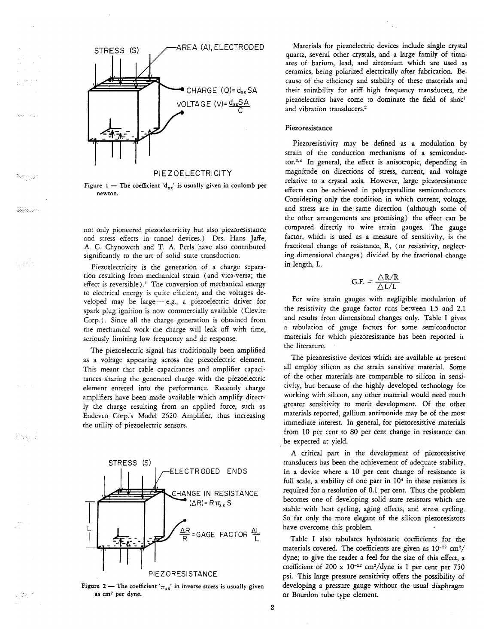



Senya

منبوذين

il ave

초직장

完成す

not only pioneered piezoelectricity but also piezoresistance and stress effects in tunnel devices.) Drs. Hans Jaffe, A. G. Chynoweth and T. A. Perls have also contributed significantly to the art of solid state transduction.

Piezoelectricity is the generation of a charge separation resulting from mechanical strain (and vica-versa; the effect is reversible).<sup>1</sup> The conversion of mechanical energy to electrical energy is quite efficient, and the voltages developed may be large - e.g., a piezoelectric driver for spark plug ignition is now commercially available (Clevite Corp.). Since all the charge generation is obtained from the mechanical work the charge will leak off with time, seriously limiting low frequency and dc response.

The piezoelectric signal has traditionally been amplified as a voltage appearing across the piezoelectric element. This meant that cable capacitances and amplifier capacitances sharing the generated charge with the piezoelectric element entered into the performance. Recently charge amplifiers have been made available which amplify directly the charge resulting from an applied force, such as Endevco Corp.'s Model 2620 Amplifier, thus increasing the utility of piezoelectric sensors.





Materials for piezoelectric devices include single crystal quartz, several other crystals, and a large family of titanates of barium, lead, and zirconium which are used as ceramics, being polarized electrically after fabrication. Because of the efficiency and stability of these materials and their suitability for stiff high frequency transducers, the piezoelectrics have come to dominate the field of shoc<sup>1</sup> and vibration transducers.<sup>2</sup>

#### Piezoresistance

Piezoresistivity may be defined as a modulation by strain of the conduction mechanisms of a semiconductor.3,4 In general, the effect is anisotropic, depending in magnitude on directions of stress, current, and voltage relative to a crystal axis. However, large piezoresistance effects can be achieved in polycrystalline semiconductors. Considering only the condition in which current, voltage, and stress are in the same direction (although some of the other arrangements are promising) the effect can be compared directly to wire strain gauges. The gauge factor, which is used as a measure of sensitivity, is the fractional change of resistance, R, (or resistivity, neglecting dimensional changes) divided by the fractional change in length, L.

$$
\text{G.F.} = \frac{\triangle \text{R/R}}{\triangle \text{L/L}}
$$

For wire strain gauges with negligible modulation of the resistivity the gauge factor runs between 1.5 and 2.1 and results from dimensional changes only. Table I gives a tabulation of gauge factors for some semiconductor materials for which piezoresistance has been reported it the literature.

The piezoresistive devices which are available at present all employ silicon as the strain sensitive material. Some of the other materials are comparable to silicon in sensitivity, but because of the highly developed technology for working with silicon, any other material would need much greater sensitivity to merit development. Of the other materials reported, gallium antimonide may be of the most immediate interest. In general, for piezoresistive materials from 10 per cent to 80 per cent change in resistance can be expected at yield.

A critical part in the development of piezoresistive transducers has been the achievement of adequate stability. In a device where a 10 per cent change of resistance is full scale, a stability of one part in 10<sup>4</sup> in these resistors is required for a resolution of 0.1 per cent. Thus the problem becomes one of developing solid state resistors which are stable with heat cycling, aging effects, and stress cycling. So far only the more elegant of the silicon piezoresistors have overcome this problem.

Table I also tabulates hydrostatic coefficients for the materials covered. The coefficients are given as  $10^{-12}$  cm<sup>2</sup>/ dyne; to give the reader a feel for the size of this effect, a coefficient of 200 x 10-12 cm<sup>2</sup>/dyne is 1 per cent per 750 psi. This large pressure sensitivity offers the possibility of developing a pressure gauge without the usual diaphragm or Bourdon tube type element.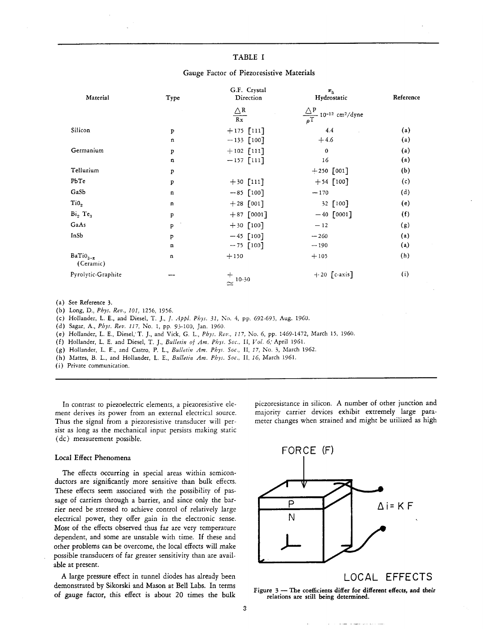#### TABLE I

| Material                        | Type         | G.F. Crystal<br>Direction | $\pi_{h}$<br>Hydrostatic                                             | Reference         |
|---------------------------------|--------------|---------------------------|----------------------------------------------------------------------|-------------------|
|                                 |              | $\frac{\triangle R}{Rx}$  | $\frac{\triangle P}{\rho T}$ 10 <sup>-12</sup> cm <sup>2</sup> /dyne |                   |
| Silicon                         | p            | $+175$ [111]              | 4.4                                                                  | (a)               |
|                                 | $\mathbf n$  | $-133$ [100]              | $+4.6$                                                               | $\left( a\right)$ |
| Germanium                       | Þ            | $+102$ [111]              | $\mathbf{0}$                                                         | (a)               |
|                                 | $\mathbf n$  | $-157$ [111]              | 16                                                                   | (a)               |
| Tellurium                       | P            |                           | $+250$ [001]                                                         | (b)               |
| PbTe                            | p            | $+30$ [111]               | $+54$ [100]                                                          | (c)               |
| GaSb                            | $\mathbf n$  | $-85$ [100]               | $-170$                                                               | (d)               |
| Ti0 <sub>2</sub>                | $\mathbf n$  | $+28$ [001]               | 32 [100]                                                             | (e)               |
| Bi <sub>2</sub> Te <sub>3</sub> | p            | $+87$ [0001]              | $-40$ [0001]                                                         | (f)               |
| GaAs                            | $\mathbf{p}$ | $+30$ [100]               | $-12$                                                                | (g)               |
| InSb                            | P            | $-45$ [100]               | $-260$                                                               | (a)               |
|                                 | $\mathbf n$  | $-75$ [100]               | $-190$                                                               | (a)               |
| $Bario_{3-x}$<br>(Ceramic)      | n            | $+150$                    | $+105$                                                               | (h)               |
| Pyrolytic-Graphite              |              | $\sim$ 10-30              | $+20$ [c-axis]                                                       | $\left( i\right)$ |

#### Gauge Factor of Piezoresistive Materials

(a) See Reference 3.

(b) Long, D., Phys. Rev., 101, 1256, 1956.

(c) Hollander, L. E., and Diesel, T. J., J. Appl. Phys. 31, No. 4, pp. 692-693, Aug. 1960.

(d) Sagar, A., Phys. Rev. 117, No. 1, pp. 93-100, Jan. 1960.

(e) Hollander, L. E., Diesel, T. J., and Vick, G. L., Phys. Rev., 117, No. 6, pp. 1469-1472, March 15, 1960.

(f) Hollander, L. E. and Diesel, T. J., Bulletin of Am. Phys. Soc., II, Vol. 6; April 1961.

(g) Hollander, L. E., and Castro, P. L., Bulletin Am. Phys. Soc., II, 17, No. 3, March 1962.

(h) Mattes, B. L., and Hollander, L. E., Bulletin Am. Phys. Soc., II, 16, March 1961.

(i) Private communication.

In contrast to piezoelectric elements, a piezoresistive element derives its power from an external electrical source. Thus the signal from a piezoresistive transducer will persist as long as the mechanical input persists making static (dc) measurement possible.

#### Local Effect Phenomena

The effects occurring in special areas within semiconductors are significantly more sensitive than bulk effects. These effects seem associated with the possibility of passage of carriers through a barrier, and since only the barrier need be stressed to achieve control of relatively large electrical power, they offer gain in the electronic sense. Most of the effects observed thus far are very temperature dependent, and some are unstable with time. If these and other problems can be overcome, the local effects will make possible transducers of far greater sensitivity than are available at present.

A large pressure effect in tunnel diodes has already been demonstrated by Sikorski and Mason at Bell Labs. In terms of gauge factor, this effect is about 20 times the bulk



piezoresistance in silicon. A number of other junction and

majority carrier devices exhibit extremely large para-

meter changes when strained and might be utilized as high

LOCAL EFFECTS

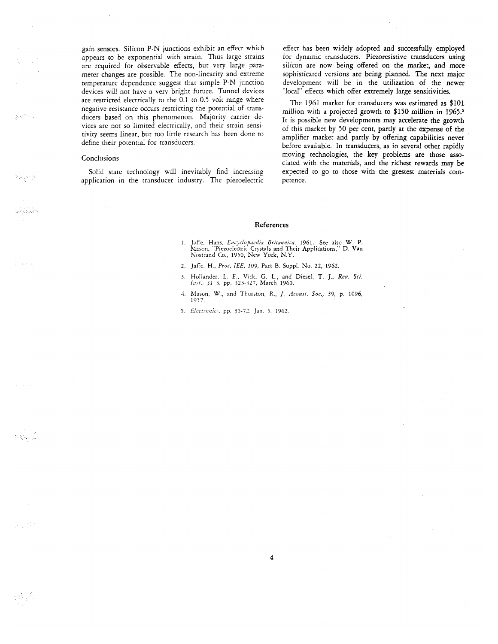gain sensors. Silicon P-N junctions exhibit an effect which appears to be exponential with strain. Thus large strains are required for observable effects, but very large parameter changes are possible. The non-linearity and extreme temperature dependence suggest that simple P-N junction devices will not have a very bright future. Tunnel devices are restricted electrically to the 0.1 to 0.5 volt range where negative resistance occurs restricting the potential of transducers based on this phenomenon. Majority carrier devices are not so limited electrically, and their strain sensitivity seems linear, but too little research has been done to define their potential for transducers.

#### Conclusions

a inge

 $\sum_{i=1}^n \sum_{j=1}^n \sum_{j=1}^n \sum_{j=1}^n \sum_{j=1}^n$ 

talan dan bahasa

عبيدت

.<br>기업 : 1

a da

 $\pm 3\pi\sqrt{3}$ 

Solid state technology will inevitably find increasing application in the transducer industry. The piezoelectric effect has been widely adopted and successfully employed for dynamic transducers. Piezoresistive transducers using silicon are now being offered on the market, and more sophisticated versions are being planned. The next major development will be in the utilization of the newer "local" effects which offer extremely large sensitivities.

The 1961 market for transducers was estimated as \$101 million with a projected growth to \$150 million in 1965.<sup>5</sup> It is possible new developments may accelerate the growth of this market by 50 per cent, partly at the expense of the amplifier market and partly by offering capabilities never before available. In transducers, as in several other rapidly moving technologies, the key problems are those associated with the materials, and the richest rewards may be expected to go to those with the grestest materials competence.

#### References

- 1. Jaffe, Hans, Encyclopaedia Britannica, 1961. See also W. P. Mason, "Piezoelectric Crystals and Their Applications," D. Van Nostrand Co., 1950, New York, N.Y.
- 2. Jaffe, H., Proc. IEE, 109, Part B. Suppl. No. 22, 1962.
- 3. Hollander, L. E., Vick, G. L., and Diesel, T. J., Rev. Sci.<br>Inst., 31 3, pp. 323-327, March 1960.
- 4. Mason, W., and Thurston, R., J. Acoust. Soc., 39, p. 1096, 1957.

 $\overline{4}$ 

5. Electronics, pp. 35-72, Jan. 5, 1962.